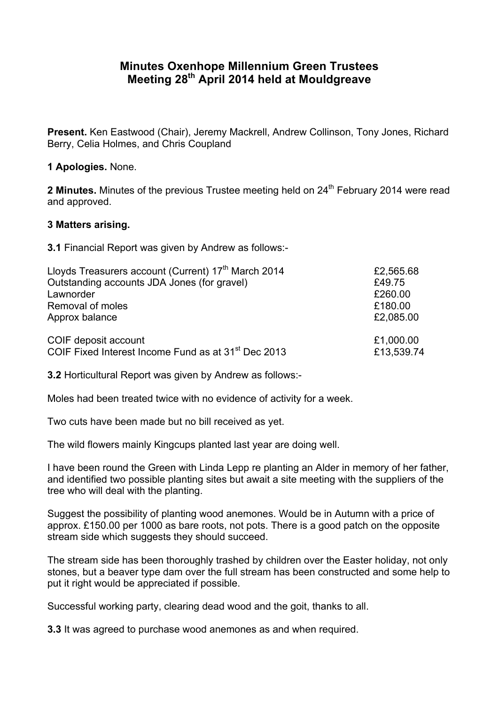## **Minutes Oxenhope Millennium Green Trustees Meeting 28th April 2014 held at Mouldgreave**

**Present.** Ken Eastwood (Chair), Jeremy Mackrell, Andrew Collinson, Tony Jones, Richard Berry, Celia Holmes, and Chris Coupland

## **1 Apologies.** None.

**2 Minutes.** Minutes of the previous Trustee meeting held on 24<sup>th</sup> February 2014 were read and approved.

## **3 Matters arising.**

**3.1** Financial Report was given by Andrew as follows:-

| Lloyds Treasurers account (Current) 17 <sup>th</sup> March 2014 | £2,565.68  |
|-----------------------------------------------------------------|------------|
| Outstanding accounts JDA Jones (for gravel)                     | £49.75     |
| Lawnorder                                                       | £260.00    |
| Removal of moles                                                | £180.00    |
| Approx balance                                                  | £2,085.00  |
| COIF deposit account                                            | £1,000.00  |
| COIF Fixed Interest Income Fund as at 31 <sup>st</sup> Dec 2013 | £13,539.74 |

**3.2** Horticultural Report was given by Andrew as follows:-

Moles had been treated twice with no evidence of activity for a week.

Two cuts have been made but no bill received as yet.

The wild flowers mainly Kingcups planted last year are doing well.

I have been round the Green with Linda Lepp re planting an Alder in memory of her father, and identified two possible planting sites but await a site meeting with the suppliers of the tree who will deal with the planting.

Suggest the possibility of planting wood anemones. Would be in Autumn with a price of approx. £150.00 per 1000 as bare roots, not pots. There is a good patch on the opposite stream side which suggests they should succeed.

The stream side has been thoroughly trashed by children over the Easter holiday, not only stones, but a beaver type dam over the full stream has been constructed and some help to put it right would be appreciated if possible.

Successful working party, clearing dead wood and the goit, thanks to all.

**3.3** It was agreed to purchase wood anemones as and when required.